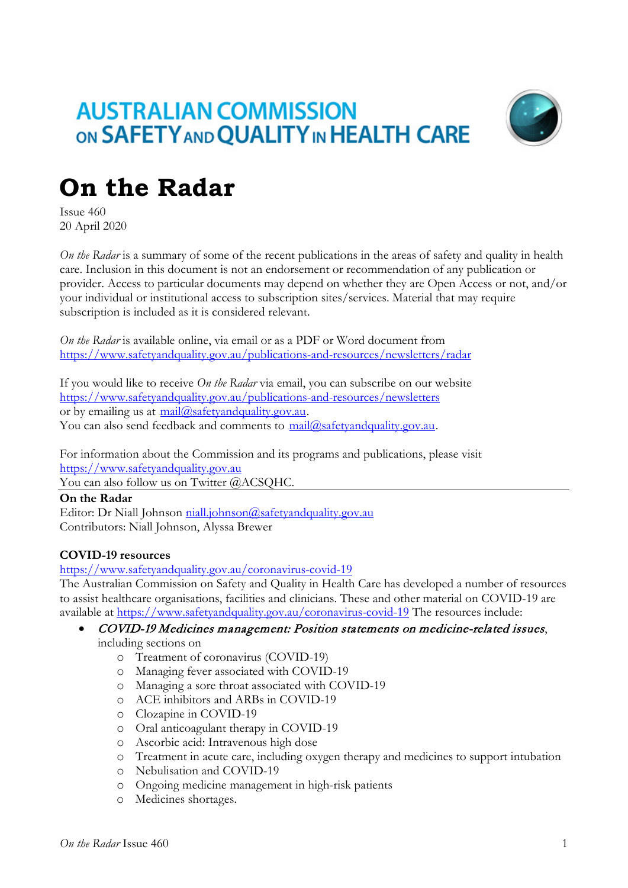# **AUSTRALIAN COMMISSION** ON SAFETY AND QUALITY IN HEALTH CARE



# **On the Radar**

Issue 460 20 April 2020

*On the Radar* is a summary of some of the recent publications in the areas of safety and quality in health care. Inclusion in this document is not an endorsement or recommendation of any publication or provider. Access to particular documents may depend on whether they are Open Access or not, and/or your individual or institutional access to subscription sites/services. Material that may require subscription is included as it is considered relevant.

*On the Radar* is available online, via email or as a PDF or Word document from <https://www.safetyandquality.gov.au/publications-and-resources/newsletters/radar>

If you would like to receive *On the Radar* via email, you can subscribe on our website <https://www.safetyandquality.gov.au/publications-and-resources/newsletters> or by emailing us at  $mail@safetvandquality.gov.au$ . You can also send feedback and comments to mail@safetyandquality.gov.au.

For information about the Commission and its programs and publications, please visit [https://www.safetyandquality.gov.au](https://www.safetyandquality.gov.au/)

You can also follow us on Twitter @ACSOHC.

**On the Radar** Editor: Dr Niall Johnson [niall.johnson@safetyandquality.gov.au](mailto:niall.johnson@safetyandquality.gov.au) Contributors: Niall Johnson, Alyssa Brewer

# **COVID-19 resources**

<https://www.safetyandquality.gov.au/coronavirus-covid-19>

The Australian Commission on Safety and Quality in Health Care has developed a number of resources to assist healthcare organisations, facilities and clinicians. These and other material on COVID-19 are available at<https://www.safetyandquality.gov.au/coronavirus-covid-19> The resources include:

#### • COVID-19 Medicines management: Position statements on medicine-related issues, including sections on

- o Treatment of coronavirus (COVID-19)
- o Managing fever associated with COVID-19
- o Managing a sore throat associated with COVID-19
- o ACE inhibitors and ARBs in COVID-19
- o Clozapine in COVID-19
- o Oral anticoagulant therapy in COVID-19
- o Ascorbic acid: Intravenous high dose
- o Treatment in acute care, including oxygen therapy and medicines to support intubation
- o Nebulisation and COVID-19
- o Ongoing medicine management in high-risk patients
- o Medicines shortages.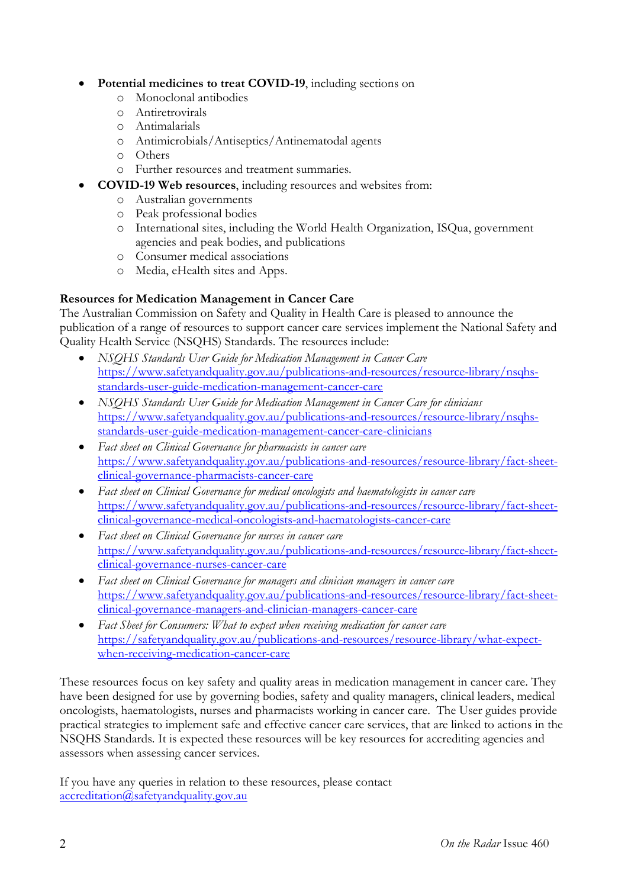#### • **Potential medicines to treat COVID-19**, including sections on

- o Monoclonal antibodies
- o Antiretrovirals
- o Antimalarials
- o Antimicrobials/Antiseptics/Antinematodal agents
- o Others
- o Further resources and treatment summaries.
- **COVID-19 Web resources**, including resources and websites from:
	- o Australian governments
	- o Peak professional bodies
	- o International sites, including the World Health Organization, ISQua, government agencies and peak bodies, and publications
	- o Consumer medical associations
	- o Media, eHealth sites and Apps.

### **Resources for Medication Management in Cancer Care**

The Australian Commission on Safety and Quality in Health Care is pleased to announce the publication of a range of resources to support cancer care services implement the National Safety and Quality Health Service (NSQHS) Standards. The resources include:

- *NSQHS Standards User Guide for Medication Management in Cancer Care*  [https://www.safetyandquality.gov.au/publications-and-resources/resource-library/nsqhs](https://www.safetyandquality.gov.au/publications-and-resources/resource-library/nsqhs-standards-user-guide-medication-management-cancer-care)[standards-user-guide-medication-management-cancer-care](https://www.safetyandquality.gov.au/publications-and-resources/resource-library/nsqhs-standards-user-guide-medication-management-cancer-care)
- *NSQHS Standards User Guide for Medication Management in Cancer Care for clinicians* [https://www.safetyandquality.gov.au/publications-and-resources/resource-library/nsqhs](https://www.safetyandquality.gov.au/publications-and-resources/resource-library/nsqhs-standards-user-guide-medication-management-cancer-care-clinicians)[standards-user-guide-medication-management-cancer-care-clinicians](https://www.safetyandquality.gov.au/publications-and-resources/resource-library/nsqhs-standards-user-guide-medication-management-cancer-care-clinicians)
- *Fact sheet on Clinical Governance for pharmacists in cancer care*  [https://www.safetyandquality.gov.au/publications-and-resources/resource-library/fact-sheet](https://www.safetyandquality.gov.au/publications-and-resources/resource-library/fact-sheet-clinical-governance-pharmacists-cancer-care)[clinical-governance-pharmacists-cancer-care](https://www.safetyandquality.gov.au/publications-and-resources/resource-library/fact-sheet-clinical-governance-pharmacists-cancer-care)
- *Fact sheet on Clinical Governance for medical oncologists and haematologists in cancer care*  [https://www.safetyandquality.gov.au/publications-and-resources/resource-library/fact-sheet](https://www.safetyandquality.gov.au/publications-and-resources/resource-library/fact-sheet-clinical-governance-medical-oncologists-and-haematologists-cancer-care)[clinical-governance-medical-oncologists-and-haematologists-cancer-care](https://www.safetyandquality.gov.au/publications-and-resources/resource-library/fact-sheet-clinical-governance-medical-oncologists-and-haematologists-cancer-care)
- *Fact sheet on Clinical Governance for nurses in cancer care*  [https://www.safetyandquality.gov.au/publications-and-resources/resource-library/fact-sheet](https://www.safetyandquality.gov.au/publications-and-resources/resource-library/fact-sheet-clinical-governance-nurses-cancer-care)[clinical-governance-nurses-cancer-care](https://www.safetyandquality.gov.au/publications-and-resources/resource-library/fact-sheet-clinical-governance-nurses-cancer-care)
- *Fact sheet on Clinical Governance for managers and clinician managers in cancer care*  [https://www.safetyandquality.gov.au/publications-and-resources/resource-library/fact-sheet](https://www.safetyandquality.gov.au/publications-and-resources/resource-library/fact-sheet-clinical-governance-managers-and-clinician-managers-cancer-care)[clinical-governance-managers-and-clinician-managers-cancer-care](https://www.safetyandquality.gov.au/publications-and-resources/resource-library/fact-sheet-clinical-governance-managers-and-clinician-managers-cancer-care)
- *Fact Sheet for Consumers: What to expect when receiving medication for cancer care* [https://safetyandquality.gov.au/publications-and-resources/resource-library/what-expect](https://safetyandquality.gov.au/publications-and-resources/resource-library/what-expect-when-receiving-medication-cancer-care)[when-receiving-medication-cancer-care](https://safetyandquality.gov.au/publications-and-resources/resource-library/what-expect-when-receiving-medication-cancer-care)

These resources focus on key safety and quality areas in medication management in cancer care. They have been designed for use by governing bodies, safety and quality managers, clinical leaders, medical oncologists, haematologists, nurses and pharmacists working in cancer care. The User guides provide practical strategies to implement safe and effective cancer care services, that are linked to actions in the NSQHS Standards. It is expected these resources will be key resources for accrediting agencies and assessors when assessing cancer services.

If you have any queries in relation to these resources, please contact [accreditation@safetyandquality.gov.au](mailto:accreditation@safetyandquality.gov.au)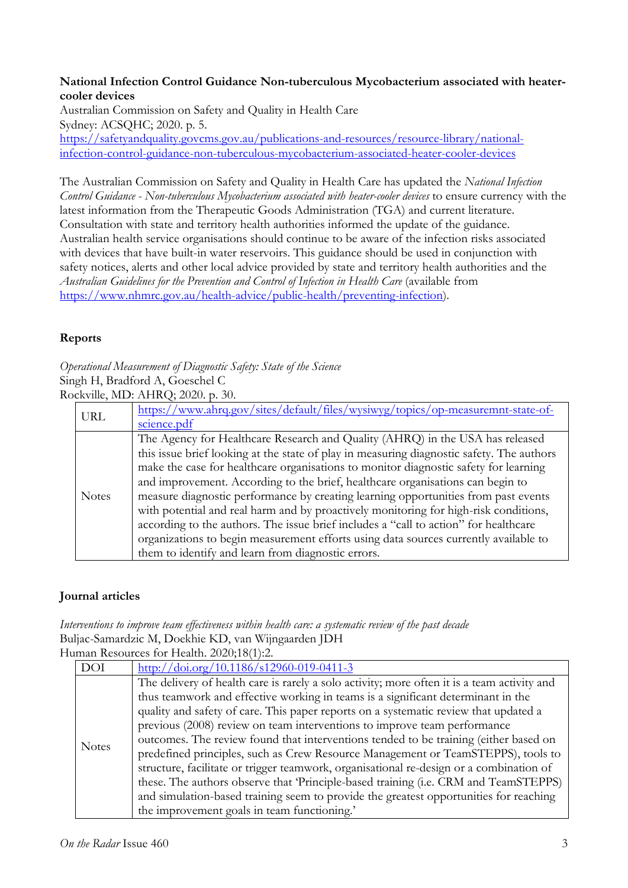#### **National Infection Control Guidance Non-tuberculous Mycobacterium associated with heatercooler devices**

Australian Commission on Safety and Quality in Health Care Sydney: ACSQHC; 2020. p. 5. [https://safetyandquality.govcms.gov.au/publications-and-resources/resource-library/national](https://safetyandquality.govcms.gov.au/publications-and-resources/resource-library/national-infection-control-guidance-non-tuberculous-mycobacterium-associated-heater-cooler-devices)[infection-control-guidance-non-tuberculous-mycobacterium-associated-heater-cooler-devices](https://safetyandquality.govcms.gov.au/publications-and-resources/resource-library/national-infection-control-guidance-non-tuberculous-mycobacterium-associated-heater-cooler-devices)

The Australian Commission on Safety and Quality in Health Care has updated the *National Infection Control Guidance - Non-tuberculous Mycobacterium associated with heater-cooler devices* to ensure currency with the latest information from the Therapeutic Goods Administration (TGA) and current literature. Consultation with state and territory health authorities informed the update of the guidance. Australian health service organisations should continue to be aware of the infection risks associated with devices that have built-in water reservoirs. This guidance should be used in conjunction with safety notices, alerts and other local advice provided by state and territory health authorities and the *Australian Guidelines for the Prevention and Control of Infection in Health Care* (available from [https://www.nhmrc.gov.au/health-advice/public-health/preventing-infection\)](https://www.nhmrc.gov.au/health-advice/public-health/preventing-infection).

## **Reports**

*Operational Measurement of Diagnostic Safety: State of the Science* Singh H, Bradford A, Goeschel C Rockville, MD: AHRQ; 2020. p. 30.

|              | $\text{cm}, \text{m}, \text{m}$ . Then $\text{m}, \text{m}$                               |
|--------------|-------------------------------------------------------------------------------------------|
| <b>URL</b>   | https://www.ahrq.gov/sites/default/files/wysiwyg/topics/op-measuremnt-state-of-           |
|              | science.pdf                                                                               |
| <b>Notes</b> | The Agency for Healthcare Research and Quality (AHRQ) in the USA has released             |
|              | this issue brief looking at the state of play in measuring diagnostic safety. The authors |
|              | make the case for healthcare organisations to monitor diagnostic safety for learning      |
|              | and improvement. According to the brief, healthcare organisations can begin to            |
|              | measure diagnostic performance by creating learning opportunities from past events        |
|              | with potential and real harm and by proactively monitoring for high-risk conditions,      |
|              | according to the authors. The issue brief includes a "call to action" for healthcare      |
|              | organizations to begin measurement efforts using data sources currently available to      |
|              | them to identify and learn from diagnostic errors.                                        |

# **Journal articles**

*Interventions to improve team effectiveness within health care: a systematic review of the past decade* Buljac-Samardzic M, Doekhie KD, van Wijngaarden JDH Human Resources for Health. 2020;18(1):2.

| $111211$ Resources for Fiealul. 2020,10(1).2. |                                                                                                                                                                                 |
|-----------------------------------------------|---------------------------------------------------------------------------------------------------------------------------------------------------------------------------------|
| <b>DOI</b>                                    | http://doi.org/10.1186/s12960-019-0411-3                                                                                                                                        |
| <b>Notes</b>                                  | The delivery of health care is rarely a solo activity; more often it is a team activity and<br>thus teamwork and effective working in teams is a significant determinant in the |
|                                               | quality and safety of care. This paper reports on a systematic review that updated a                                                                                            |
|                                               | previous (2008) review on team interventions to improve team performance                                                                                                        |
|                                               | outcomes. The review found that interventions tended to be training (either based on                                                                                            |
|                                               | predefined principles, such as Crew Resource Management or TeamSTEPPS), tools to                                                                                                |
|                                               | structure, facilitate or trigger teamwork, organisational re-design or a combination of                                                                                         |
|                                               | these. The authors observe that 'Principle-based training (i.e. CRM and TeamSTEPPS)                                                                                             |
|                                               | and simulation-based training seem to provide the greatest opportunities for reaching                                                                                           |
|                                               | the improvement goals in team functioning.'                                                                                                                                     |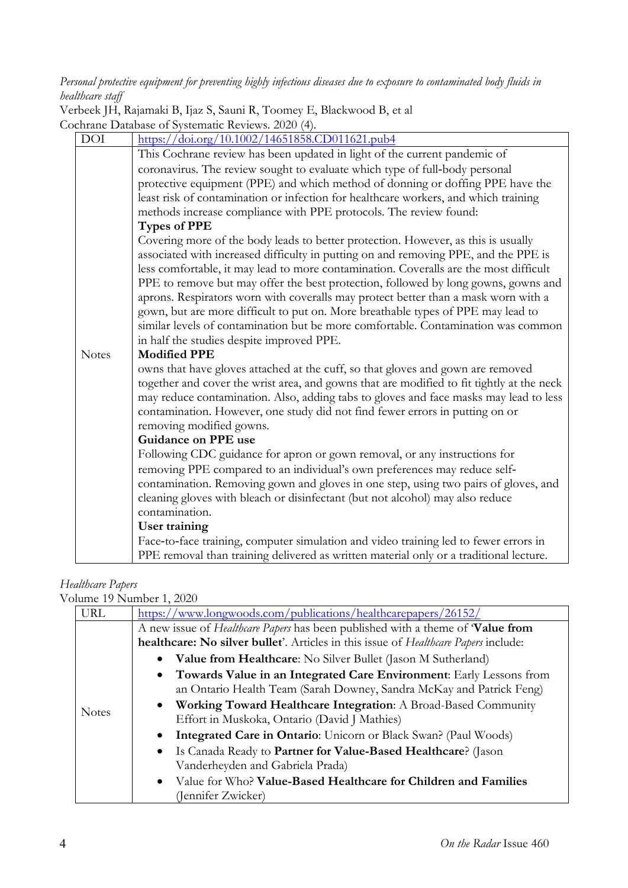*Personal protective equipment for preventing highly infectious diseases due to exposure to contaminated body fluids in healthcare staff*

Verbeek JH, Rajamaki B, Ijaz S, Sauni R, Toomey E, Blackwood B, et al Cochrane Database of Systematic Reviews. 2020 (4).

| DOI          | https://doi.org/10.1002/14651858.CD011621.pub4                                                                                                                       |
|--------------|----------------------------------------------------------------------------------------------------------------------------------------------------------------------|
|              | This Cochrane review has been updated in light of the current pandemic of                                                                                            |
|              | coronavirus. The review sought to evaluate which type of full-body personal                                                                                          |
|              | protective equipment (PPE) and which method of donning or doffing PPE have the                                                                                       |
|              | least risk of contamination or infection for healthcare workers, and which training                                                                                  |
|              | methods increase compliance with PPE protocols. The review found:                                                                                                    |
|              | <b>Types of PPE</b>                                                                                                                                                  |
|              | Covering more of the body leads to better protection. However, as this is usually                                                                                    |
|              | associated with increased difficulty in putting on and removing PPE, and the PPE is                                                                                  |
|              | less comfortable, it may lead to more contamination. Coveralls are the most difficult                                                                                |
|              | PPE to remove but may offer the best protection, followed by long gowns, gowns and                                                                                   |
|              | aprons. Respirators worn with coveralls may protect better than a mask worn with a                                                                                   |
|              | gown, but are more difficult to put on. More breathable types of PPE may lead to                                                                                     |
|              | similar levels of contamination but be more comfortable. Contamination was common                                                                                    |
|              | in half the studies despite improved PPE.                                                                                                                            |
|              |                                                                                                                                                                      |
| <b>Notes</b> | <b>Modified PPE</b>                                                                                                                                                  |
|              | owns that have gloves attached at the cuff, so that gloves and gown are removed                                                                                      |
|              | together and cover the wrist area, and gowns that are modified to fit tightly at the neck                                                                            |
|              | may reduce contamination. Also, adding tabs to gloves and face masks may lead to less                                                                                |
|              | contamination. However, one study did not find fewer errors in putting on or                                                                                         |
|              | removing modified gowns.                                                                                                                                             |
|              | Guidance on PPE use                                                                                                                                                  |
|              | Following CDC guidance for apron or gown removal, or any instructions for                                                                                            |
|              | removing PPE compared to an individual's own preferences may reduce self-                                                                                            |
|              | contamination. Removing gown and gloves in one step, using two pairs of gloves, and<br>cleaning gloves with bleach or disinfectant (but not alcohol) may also reduce |
|              | contamination.                                                                                                                                                       |
|              | <b>User training</b>                                                                                                                                                 |
|              | Face-to-face training, computer simulation and video training led to fewer errors in                                                                                 |

# *Healthcare Papers*

Volume 19 Number 1, 2020

| <b>URL</b>   | https://www.longwoods.com/publications/healthcarepapers/26152/                               |
|--------------|----------------------------------------------------------------------------------------------|
| <b>Notes</b> | A new issue of <i>Healthcare Papers</i> has been published with a theme of <b>Value from</b> |
|              | healthcare: No silver bullet'. Articles in this issue of Healthcare Papers include:          |
|              | • Value from Healthcare: No Silver Bullet (Jason M Sutherland)                               |
|              | • Towards Value in an Integrated Care Environment: Early Lessons from                        |
|              | an Ontario Health Team (Sarah Downey, Sandra McKay and Patrick Feng)                         |
|              | • Working Toward Healthcare Integration: A Broad-Based Community                             |
|              | Effort in Muskoka, Ontario (David J Mathies)                                                 |
|              | <b>Integrated Care in Ontario:</b> Unicorn or Black Swan? (Paul Woods)                       |
|              | • Is Canada Ready to Partner for Value-Based Healthcare? (Jason                              |
|              | Vanderheyden and Gabriela Prada)                                                             |
|              | • Value for Who? Value-Based Healthcare for Children and Families                            |
|              | (Jennifer Zwicker)                                                                           |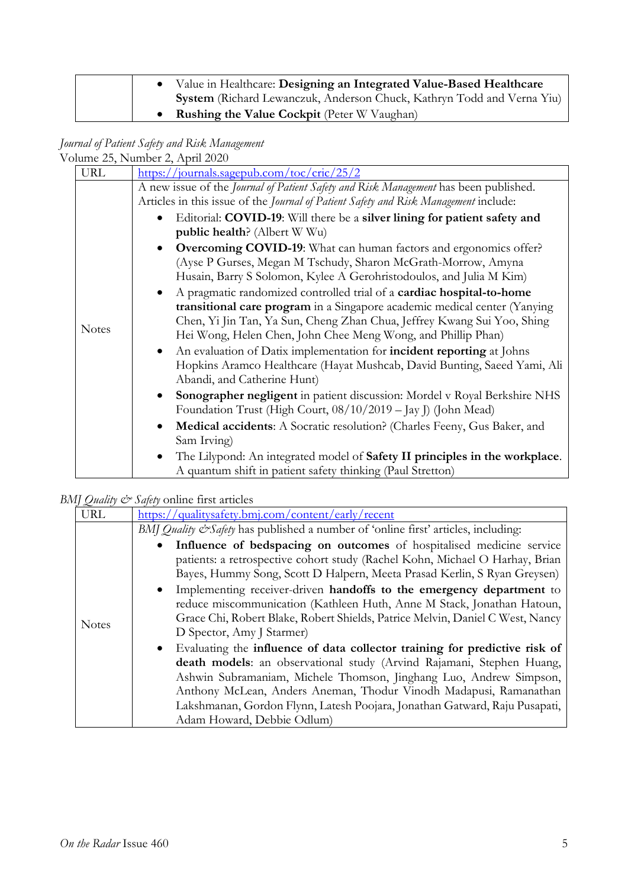| Value in Healthcare: Designing an Integrated Value-Based Healthcare    |
|------------------------------------------------------------------------|
| System (Richard Lewanczuk, Anderson Chuck, Kathryn Todd and Verna Yiu) |
| <b>Rushing the Value Cockpit</b> (Peter W Vaughan)                     |

*Journal of Patient Safety and Risk Management*

|              | Volume 25, Number 2, April 2020                                                                                                                                                                                                                                                                                                                                                                                                                                                                                                                                                                                                                                                                                                                                                                                                                                                                                                                                                                                                                                                                                                                                                                                                                                                                                                                                                                                                       |
|--------------|---------------------------------------------------------------------------------------------------------------------------------------------------------------------------------------------------------------------------------------------------------------------------------------------------------------------------------------------------------------------------------------------------------------------------------------------------------------------------------------------------------------------------------------------------------------------------------------------------------------------------------------------------------------------------------------------------------------------------------------------------------------------------------------------------------------------------------------------------------------------------------------------------------------------------------------------------------------------------------------------------------------------------------------------------------------------------------------------------------------------------------------------------------------------------------------------------------------------------------------------------------------------------------------------------------------------------------------------------------------------------------------------------------------------------------------|
| <b>URL</b>   | https://journals.sagepub.com/toc/cric/25/2                                                                                                                                                                                                                                                                                                                                                                                                                                                                                                                                                                                                                                                                                                                                                                                                                                                                                                                                                                                                                                                                                                                                                                                                                                                                                                                                                                                            |
| <b>Notes</b> | A new issue of the Journal of Patient Safety and Risk Management has been published.<br>Articles in this issue of the Journal of Patient Safety and Risk Management include:<br>Editorial: COVID-19: Will there be a silver lining for patient safety and<br>public health? (Albert W Wu)<br>Overcoming COVID-19: What can human factors and ergonomics offer?<br>(Ayse P Gurses, Megan M Tschudy, Sharon McGrath-Morrow, Amyna<br>Husain, Barry S Solomon, Kylee A Gerohristodoulos, and Julia M Kim)<br>A pragmatic randomized controlled trial of a cardiac hospital-to-home<br>$\bullet$<br>transitional care program in a Singapore academic medical center (Yanying<br>Chen, Yi Jin Tan, Ya Sun, Cheng Zhan Chua, Jeffrey Kwang Sui Yoo, Shing<br>Hei Wong, Helen Chen, John Chee Meng Wong, and Phillip Phan)<br>An evaluation of Datix implementation for incident reporting at Johns<br>$\bullet$<br>Hopkins Aramco Healthcare (Hayat Mushcab, David Bunting, Saeed Yami, Ali<br>Abandi, and Catherine Hunt)<br>Sonographer negligent in patient discussion: Mordel v Royal Berkshire NHS<br>Foundation Trust (High Court, 08/10/2019 – Jay J) (John Mead)<br>Medical accidents: A Socratic resolution? (Charles Feeny, Gus Baker, and<br>$\bullet$<br>Sam Irving)<br>The Lilypond: An integrated model of Safety II principles in the workplace.<br>$\bullet$<br>A quantum shift in patient safety thinking (Paul Stretton) |

*BMJ Quality & Safety* online first articles

| $\approx$    |                                                                                                                                                                                                                                                                                                                                                                                                                                                                                                                                                                                                                                                                                                                                                                                                                                                                                                                    |
|--------------|--------------------------------------------------------------------------------------------------------------------------------------------------------------------------------------------------------------------------------------------------------------------------------------------------------------------------------------------------------------------------------------------------------------------------------------------------------------------------------------------------------------------------------------------------------------------------------------------------------------------------------------------------------------------------------------------------------------------------------------------------------------------------------------------------------------------------------------------------------------------------------------------------------------------|
| URL          | https://qualitysafety.bmj.com/content/early/recent                                                                                                                                                                                                                                                                                                                                                                                                                                                                                                                                                                                                                                                                                                                                                                                                                                                                 |
|              | BMJ Quality & Safety has published a number of 'online first' articles, including:                                                                                                                                                                                                                                                                                                                                                                                                                                                                                                                                                                                                                                                                                                                                                                                                                                 |
| <b>Notes</b> | Influence of bedspacing on outcomes of hospitalised medicine service<br>patients: a retrospective cohort study (Rachel Kohn, Michael O Harhay, Brian<br>Bayes, Hummy Song, Scott D Halpern, Meeta Prasad Kerlin, S Ryan Greysen)<br>• Implementing receiver-driven handoffs to the emergency department to<br>reduce miscommunication (Kathleen Huth, Anne M Stack, Jonathan Hatoun,<br>Grace Chi, Robert Blake, Robert Shields, Patrice Melvin, Daniel C West, Nancy<br>D Spector, Amy J Starmer)<br>• Evaluating the influence of data collector training for predictive risk of<br>death models: an observational study (Arvind Rajamani, Stephen Huang,<br>Ashwin Subramaniam, Michele Thomson, Jinghang Luo, Andrew Simpson,<br>Anthony McLean, Anders Aneman, Thodur Vinodh Madapusi, Ramanathan<br>Lakshmanan, Gordon Flynn, Latesh Poojara, Jonathan Gatward, Raju Pusapati,<br>Adam Howard, Debbie Odlum) |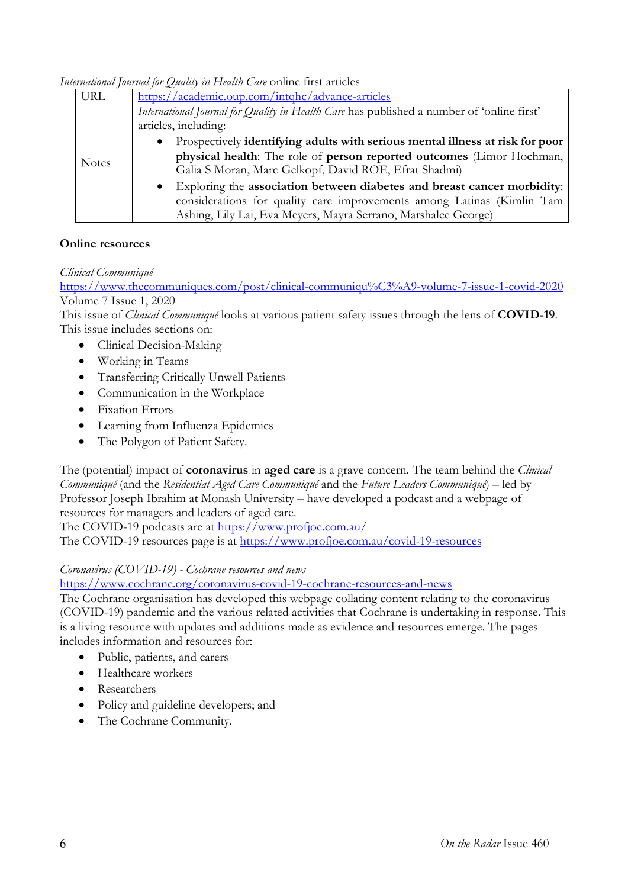*International Journal for Quality in Health Care* online first articles

| <b>URL</b>   | https://academic.oup.com/intqhc/advance-articles                                           |
|--------------|--------------------------------------------------------------------------------------------|
| <b>Notes</b> | International Journal for Quality in Health Care has published a number of 'online first'  |
|              | articles, including:                                                                       |
|              | Prospectively identifying adults with serious mental illness at risk for poor<br>$\bullet$ |
|              | physical health: The role of person reported outcomes (Limor Hochman,                      |
|              | Galia S Moran, Marc Gelkopf, David ROE, Efrat Shadmi)                                      |
|              | Exploring the association between diabetes and breast cancer morbidity:                    |
|              | considerations for quality care improvements among Latinas (Kimlin Tam                     |
|              | Ashing, Lily Lai, Eva Meyers, Mayra Serrano, Marshalee George)                             |

### **Online resources**

### *Clinical Communiqué*

<https://www.thecommuniques.com/post/clinical-communiqu%C3%A9-volume-7-issue-1-covid-2020> Volume 7 Issue 1, 2020

This issue of *Clinical Communiqué* looks at various patient safety issues through the lens of **COVID-19**. This issue includes sections on:

- Clinical Decision-Making
- Working in Teams
- Transferring Critically Unwell Patients
- Communication in the Workplace
- Fixation Errors
- Learning from Influenza Epidemics
- The Polygon of Patient Safety.

The (potential) impact of **coronavirus** in **aged care** is a grave concern. The team behind the *Clinical Communiqué* (and the *Residential Aged Care Communiqué* and the *Future Leaders Communiqué*) – led by Professor Joseph Ibrahim at Monash University – have developed a podcast and a webpage of resources for managers and leaders of aged care.

The COVID-19 podcasts are at<https://www.profjoe.com.au/>

The COVID-19 resources page is at<https://www.profjoe.com.au/covid-19-resources>

### *Coronavirus (COVID-19) - Cochrane resources and news*

<https://www.cochrane.org/coronavirus-covid-19-cochrane-resources-and-news>

The Cochrane organisation has developed this webpage collating content relating to the coronavirus (COVID-19) pandemic and the various related activities that Cochrane is undertaking in response. This is a living resource with updates and additions made as evidence and resources emerge. The pages includes information and resources for:

- Public, patients, and carers
- Healthcare workers
- Researchers
- Policy and guideline developers; and
- The Cochrane Community.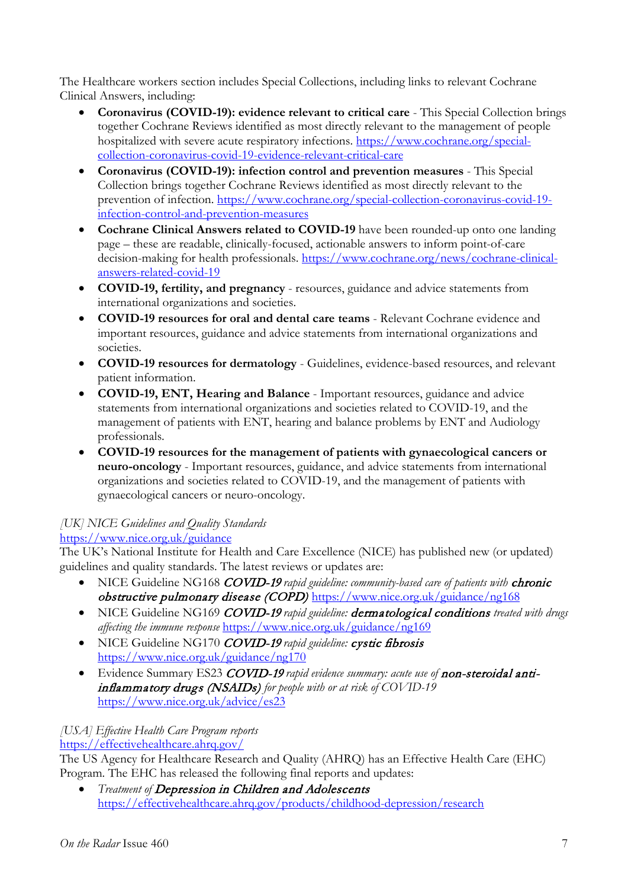The Healthcare workers section includes Special Collections, including links to relevant Cochrane Clinical Answers, including:

- **Coronavirus (COVID-19): evidence relevant to critical care** This Special Collection brings together Cochrane Reviews identified as most directly relevant to the management of people hospitalized with severe acute respiratory infections. [https://www.cochrane.org/special](https://www.cochrane.org/special-collection-coronavirus-covid-19-evidence-relevant-critical-care)[collection-coronavirus-covid-19-evidence-relevant-critical-care](https://www.cochrane.org/special-collection-coronavirus-covid-19-evidence-relevant-critical-care)
- **Coronavirus (COVID-19): infection control and prevention measures** This Special Collection brings together Cochrane Reviews identified as most directly relevant to the prevention of infection. [https://www.cochrane.org/special-collection-coronavirus-covid-19](https://www.cochrane.org/special-collection-coronavirus-covid-19-infection-control-and-prevention-measures) [infection-control-and-prevention-measures](https://www.cochrane.org/special-collection-coronavirus-covid-19-infection-control-and-prevention-measures)
- **Cochrane Clinical Answers related to COVID-19** have been rounded-up onto one landing page – these are readable, clinically-focused, actionable answers to inform point-of-care decision-making for health professionals. [https://www.cochrane.org/news/cochrane-clinical](https://www.cochrane.org/news/cochrane-clinical-answers-related-covid-19)[answers-related-covid-19](https://www.cochrane.org/news/cochrane-clinical-answers-related-covid-19)
- **COVID-19, fertility, and pregnancy** resources, guidance and advice statements from international organizations and societies.
- **COVID-19 resources for oral and dental care teams** Relevant Cochrane evidence and important resources, guidance and advice statements from international organizations and societies.
- **COVID-19 resources for dermatology** Guidelines, evidence-based resources, and relevant patient information.
- **COVID-19, ENT, Hearing and Balance** Important resources, guidance and advice statements from international organizations and societies related to COVID-19, and the management of patients with ENT, hearing and balance problems by ENT and Audiology professionals.
- **COVID-19 resources for the management of patients with gynaecological cancers or neuro-oncology** - Important resources, guidance, and advice statements from international organizations and societies related to COVID-19, and the management of patients with gynaecological cancers or neuro-oncology.

# *[UK] NICE Guidelines and Quality Standards*

# <https://www.nice.org.uk/guidance>

The UK's National Institute for Health and Care Excellence (NICE) has published new (or updated) guidelines and quality standards. The latest reviews or updates are:

- NICE Guideline NG168 *COVID-19* rapid guideline: *community-based care of patients with chronic* obstructive pulmonary disease (COPD) <https://www.nice.org.uk/guidance/ng168>
- NICE Guideline NG169 COVID-19 *rapid guideline:* dermatological conditions *treated with drugs affecting the immune response* <https://www.nice.org.uk/guidance/ng169>
- NICE Guideline NG170 COVID-19 *rapid guideline:* cystic fibrosis <https://www.nice.org.uk/guidance/ng170>
- Evidence Summary ES23 COVID-19 rapid evidence summary: acute use of **non-steroidal anti**inflammatory drugs (NSAIDs) *for people with or at risk of COVID-19*  <https://www.nice.org.uk/advice/es23>

# *[USA] Effective Health Care Program reports*

<https://effectivehealthcare.ahrq.gov/>

The US Agency for Healthcare Research and Quality (AHRQ) has an Effective Health Care (EHC) Program. The EHC has released the following final reports and updates:

• *Treatment of* Depression in Children and Adolescents <https://effectivehealthcare.ahrq.gov/products/childhood-depression/research>